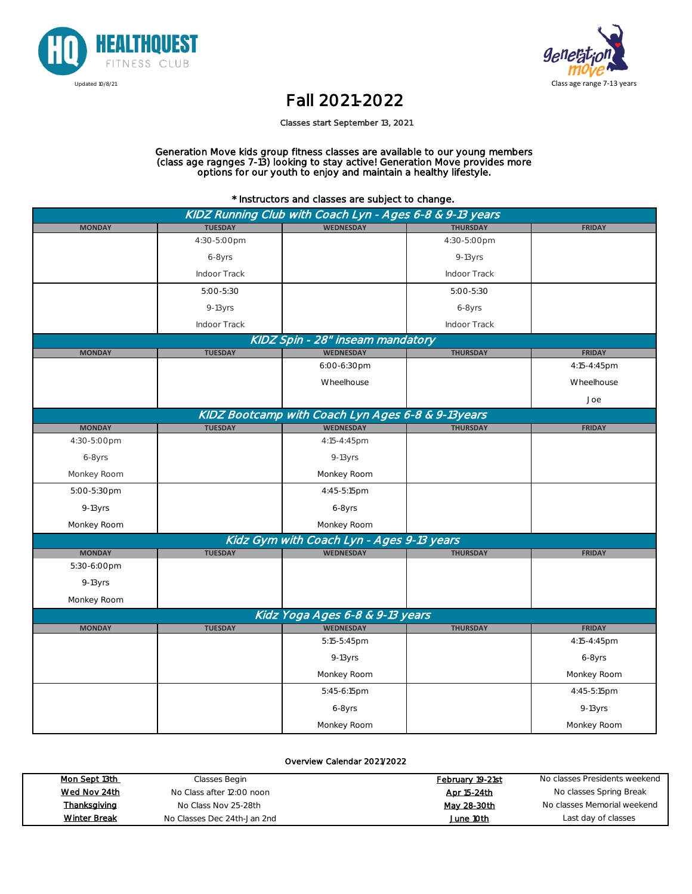



## Fall 2021-2022

Classes start September 13, 2021

Generation Move kids group fitness classes are available to our young members (class age ragnges 7-13) looking to stay active! Generation Move provides more options for our youth to enjoy and maintain a healthy lifestyle.

\* Instructors and classes are subject to change.

| KIDZ Running Club with Coach Lyn - Ages 6-8 & 9-13 years |                |                                                   |                 |               |  |
|----------------------------------------------------------|----------------|---------------------------------------------------|-----------------|---------------|--|
| <b>MONDAY</b>                                            | <b>TUESDAY</b> | <b>WEDNESDAY</b>                                  | <b>THURSDAY</b> | <b>FRIDAY</b> |  |
|                                                          | 4:30-5:00pm    |                                                   | 4:30-5:00pm     |               |  |
|                                                          | 6-8yrs         |                                                   | 9-13yrs         |               |  |
|                                                          | Indoor Track   |                                                   | Indoor Track    |               |  |
|                                                          | 5:00-5:30      |                                                   | 5:00-5:30       |               |  |
|                                                          | 9-13yrs        |                                                   | 6-8yrs          |               |  |
|                                                          | Indoor Track   |                                                   | Indoor Track    |               |  |
|                                                          |                | KIDZ Spin - 28" inseam mandatory                  |                 |               |  |
| <b>MONDAY</b>                                            | <b>TUESDAY</b> | <b>WEDNESDAY</b>                                  | <b>THURSDAY</b> | <b>FRIDAY</b> |  |
|                                                          |                | 6:00-6:30pm                                       |                 | 4:15-4:45pm   |  |
|                                                          |                | Wheelhouse                                        |                 | Wheelhouse    |  |
|                                                          |                |                                                   |                 | Joe           |  |
|                                                          |                | KIDZ Bootcamp with Coach Lyn Ages 6-8 & 9-13years |                 |               |  |
| <b>MONDAY</b>                                            | <b>TUESDAY</b> | <b>WEDNESDAY</b>                                  | <b>THURSDAY</b> | <b>FRIDAY</b> |  |
| 4:30-5:00pm                                              |                | 4:15-4:45pm                                       |                 |               |  |
| 6-8yrs                                                   |                | 9-13yrs                                           |                 |               |  |
| Monkey Room                                              |                | Monkey Room                                       |                 |               |  |
| 5:00-5:30pm                                              |                | 4:45-5:15pm                                       |                 |               |  |
| $9-13yrs$                                                |                | 6-8yrs                                            |                 |               |  |
| Monkey Room                                              |                | Monkey Room                                       |                 |               |  |
|                                                          |                | Kidz Gym with Coach Lyn - Ages 9-13 years         |                 |               |  |
| <b>MONDAY</b>                                            | <b>TUESDAY</b> | <b>WEDNESDAY</b>                                  | <b>THURSDAY</b> | <b>FRIDAY</b> |  |
| 5:30-6:00pm                                              |                |                                                   |                 |               |  |
| $9-13$ yrs                                               |                |                                                   |                 |               |  |
| Monkey Room                                              |                |                                                   |                 |               |  |
| Kidz Yoga Ages 6-8 & 9-13 years                          |                |                                                   |                 |               |  |
| <b>MONDAY</b>                                            | <b>TUESDAY</b> | <b>WEDNESDAY</b>                                  | <b>THURSDAY</b> | <b>FRIDAY</b> |  |
|                                                          |                | 5:15-5:45pm                                       |                 | 4:15-4:45pm   |  |
|                                                          |                | 9-13yrs                                           |                 | 6-8yrs        |  |
|                                                          |                | Monkey Room                                       |                 | Monkey Room   |  |
|                                                          |                | 5:45-6:15pm                                       |                 | 4:45-5:15pm   |  |
|                                                          |                | 6-8yrs                                            |                 | 9-13yrs       |  |
|                                                          |                | Monkey Room                                       |                 | Monkey Room   |  |

Overview Calendar 2021/2022

| Mon Sept 13th       | Classes Begin               | February 19-21st | No classes Presidents weekend |
|---------------------|-----------------------------|------------------|-------------------------------|
| Wed Nov 24th        | No Class after 12:00 noon   | Apr 15-24th      | No classes Spring Break       |
| Thanksgiving        | No Class Nov 25-28th        | May 28-30th      | No classes Memorial weekend   |
| <b>Winter Break</b> | No Classes Dec 24th-Jan 2nd | June 10th        | Last day of classes           |